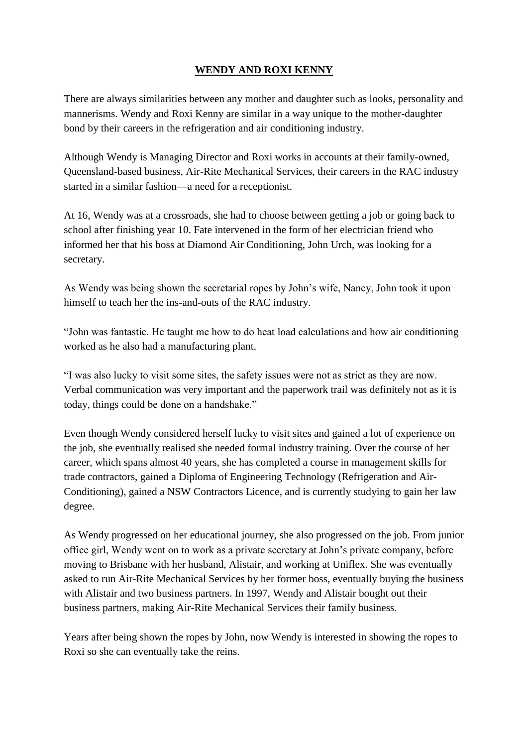## **WENDY AND ROXI KENNY**

There are always similarities between any mother and daughter such as looks, personality and mannerisms. Wendy and Roxi Kenny are similar in a way unique to the mother-daughter bond by their careers in the refrigeration and air conditioning industry.

Although Wendy is Managing Director and Roxi works in accounts at their family-owned, Queensland-based business, Air-Rite Mechanical Services, their careers in the RAC industry started in a similar fashion—a need for a receptionist.

At 16, Wendy was at a crossroads, she had to choose between getting a job or going back to school after finishing year 10. Fate intervened in the form of her electrician friend who informed her that his boss at Diamond Air Conditioning, John Urch, was looking for a secretary.

As Wendy was being shown the secretarial ropes by John's wife, Nancy, John took it upon himself to teach her the ins-and-outs of the RAC industry.

"John was fantastic. He taught me how to do heat load calculations and how air conditioning worked as he also had a manufacturing plant.

"I was also lucky to visit some sites, the safety issues were not as strict as they are now. Verbal communication was very important and the paperwork trail was definitely not as it is today, things could be done on a handshake."

Even though Wendy considered herself lucky to visit sites and gained a lot of experience on the job, she eventually realised she needed formal industry training. Over the course of her career, which spans almost 40 years, she has completed a course in management skills for trade contractors, gained a Diploma of Engineering Technology (Refrigeration and Air-Conditioning), gained a NSW Contractors Licence, and is currently studying to gain her law degree.

As Wendy progressed on her educational journey, she also progressed on the job. From junior office girl, Wendy went on to work as a private secretary at John's private company, before moving to Brisbane with her husband, Alistair, and working at Uniflex. She was eventually asked to run Air-Rite Mechanical Services by her former boss, eventually buying the business with Alistair and two business partners. In 1997, Wendy and Alistair bought out their business partners, making Air-Rite Mechanical Services their family business.

Years after being shown the ropes by John, now Wendy is interested in showing the ropes to Roxi so she can eventually take the reins.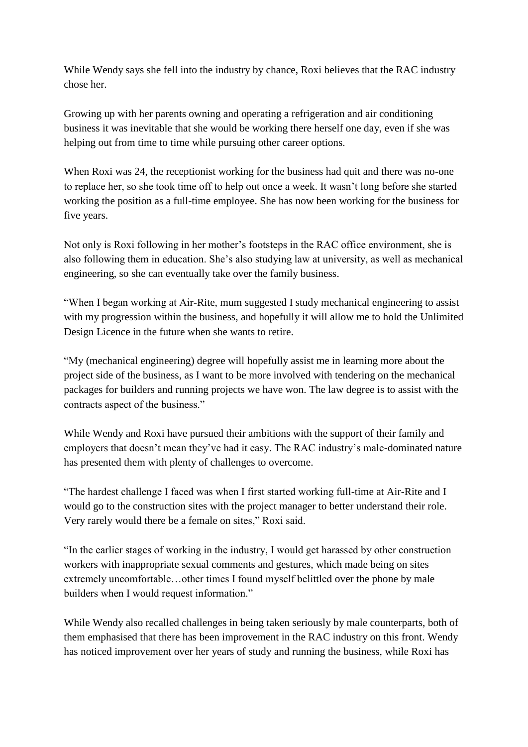While Wendy says she fell into the industry by chance, Roxi believes that the RAC industry chose her.

Growing up with her parents owning and operating a refrigeration and air conditioning business it was inevitable that she would be working there herself one day, even if she was helping out from time to time while pursuing other career options.

When Roxi was 24, the receptionist working for the business had quit and there was no-one to replace her, so she took time off to help out once a week. It wasn't long before she started working the position as a full-time employee. She has now been working for the business for five years.

Not only is Roxi following in her mother's footsteps in the RAC office environment, she is also following them in education. She's also studying law at university, as well as mechanical engineering, so she can eventually take over the family business.

"When I began working at Air-Rite, mum suggested I study mechanical engineering to assist with my progression within the business, and hopefully it will allow me to hold the Unlimited Design Licence in the future when she wants to retire.

"My (mechanical engineering) degree will hopefully assist me in learning more about the project side of the business, as I want to be more involved with tendering on the mechanical packages for builders and running projects we have won. The law degree is to assist with the contracts aspect of the business."

While Wendy and Roxi have pursued their ambitions with the support of their family and employers that doesn't mean they've had it easy. The RAC industry's male-dominated nature has presented them with plenty of challenges to overcome.

"The hardest challenge I faced was when I first started working full-time at Air-Rite and I would go to the construction sites with the project manager to better understand their role. Very rarely would there be a female on sites," Roxi said.

"In the earlier stages of working in the industry, I would get harassed by other construction workers with inappropriate sexual comments and gestures, which made being on sites extremely uncomfortable…other times I found myself belittled over the phone by male builders when I would request information."

While Wendy also recalled challenges in being taken seriously by male counterparts, both of them emphasised that there has been improvement in the RAC industry on this front. Wendy has noticed improvement over her years of study and running the business, while Roxi has